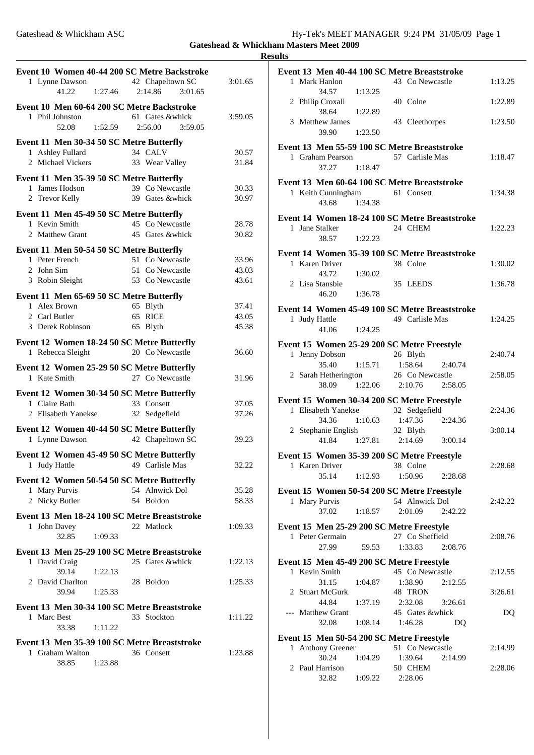**Results**

| Event 10 Women 40-44 200 SC Metre Backstroke<br>1 Lynne Dawson<br>1:27.46<br>41.22            | 42 Chapeltown SC<br>3:01.65<br>2:14.86                | 3:01.65                 |
|-----------------------------------------------------------------------------------------------|-------------------------------------------------------|-------------------------|
| Event 10 Men 60-64 200 SC Metre Backstroke<br>1 Phil Johnston<br>1:52.59<br>52.08             | 61 Gates & whick<br>2:56.00<br>3:59.05                | 3:59.05                 |
| Event 11 Men 30-34 50 SC Metre Butterfly<br>1 Ashley Fullard<br>2 Michael Vickers             | 34 CALV<br>33 Wear Valley                             | 30.57<br>31.84          |
| Event 11 Men 35-39 50 SC Metre Butterfly<br>1 James Hodson<br>2 Trevor Kelly                  | 39 Co Newcastle<br>39 Gates &whick                    | 30.33<br>30.97          |
| Event 11 Men 45-49 50 SC Metre Butterfly<br>1 Kevin Smith<br>2 Matthew Grant                  | 45 Co Newcastle<br>45 Gates &whick                    | 28.78<br>30.82          |
| Event 11 Men 50-54 50 SC Metre Butterfly<br>1 Peter French<br>2 John Sim<br>3 Robin Sleight   | 51 Co Newcastle<br>51 Co Newcastle<br>53 Co Newcastle | 33.96<br>43.03<br>43.61 |
| Event 11 Men 65-69 50 SC Metre Butterfly<br>1 Alex Brown<br>2 Carl Butler<br>3 Derek Robinson | 65 Blyth<br>65 RICE<br>65 Blyth                       | 37.41<br>43.05<br>45.38 |
| Event 12 Women 18-24 50 SC Metre Butterfly<br>1 Rebecca Sleight                               | 20 Co Newcastle                                       | 36.60                   |
| Event 12 Women 25-29 50 SC Metre Butterfly<br>1 Kate Smith                                    | 27 Co Newcastle                                       | 31.96                   |
| Event 12 Women 30-34 50 SC Metre Butterfly<br>1 Claire Bath<br>2 Elisabeth Yanekse            | 33 Consett<br>32 Sedgefield                           | 37.05<br>37.26          |
| Event 12 Women 40-44 50 SC Metre Butterfly<br>1 Lynne Dawson                                  | 42 Chapeltown SC                                      | 39.23                   |
| Event 12 Women 45-49 50 SC Metre Butterfly<br>1 Judy Hattle                                   | 49 Carlisle Mas                                       | 32.22                   |
| Event 12 Women 50-54 50 SC Metre Butterfly<br>1 Mary Purvis<br>2 Nicky Butler                 | 54 Alnwick Dol<br>54 Boldon                           | 35.28<br>58.33          |
| Event 13 Men 18-24 100 SC Metre Breaststroke<br>1 John Davey<br>32.85<br>1:09.33              | 22 Matlock                                            | 1:09.33                 |
| Event 13 Men 25-29 100 SC Metre Breaststroke<br>1 David Craig                                 | 25 Gates & whick                                      | 1:22.13                 |
| 39.14<br>1:22.13<br>2 David Charlton<br>39.94<br>1:25.33                                      | 28 Boldon                                             | 1:25.33                 |
| Event 13 Men 30-34 100 SC Metre Breaststroke<br>1 Marc Best<br>33.38<br>1:11.22               | 33 Stockton                                           | 1:11.22                 |
| Event 13 Men 35-39 100 SC Metre Breaststroke<br>1 Graham Walton<br>38.85<br>1:23.88           | 36 Consett                                            | 1:23.88                 |

| Event 13 Men 40-44 100 SC Metre Breaststroke                     |                    |                               |         |         |
|------------------------------------------------------------------|--------------------|-------------------------------|---------|---------|
| 1 Mark Hanlon                                                    |                    | 43 Co Newcastle               |         | 1:13.25 |
| 34.57<br>2 Philip Croxall                                        | 1:13.25            | 40 Colne                      |         | 1:22.89 |
| 38.64<br>3 Matthew James<br>39.90                                | 1:22.89<br>1:23.50 | 43 Cleethorpes                |         | 1:23.50 |
|                                                                  |                    |                               |         |         |
| Event 13 Men 55-59 100 SC Metre Breaststroke<br>1 Graham Pearson |                    | 57 Carlisle Mas               |         | 1:18.47 |
| 37.27 1:18.47                                                    |                    |                               |         |         |
| Event 13 Men 60-64 100 SC Metre Breaststroke                     |                    |                               |         |         |
| 1 Keith Cunningham                                               |                    | 61 Consett                    |         | 1:34.38 |
| 43.68                                                            | 1:34.38            |                               |         |         |
| Event 14 Women 18-24 100 SC Metre Breaststroke                   |                    |                               |         |         |
| 1 Jane Stalker                                                   |                    | 24 CHEM                       |         | 1:22.23 |
| 38.57                                                            | 1:22.23            |                               |         |         |
| Event 14 Women 35-39 100 SC Metre Breaststroke                   |                    |                               |         |         |
| 1 Karen Driver                                                   |                    | 38 Colne                      |         | 1:30.02 |
| 43.72 1:30.02<br>2 Lisa Stansbie                                 |                    | 35 LEEDS                      |         | 1:36.78 |
| 46.20 1:36.78                                                    |                    |                               |         |         |
|                                                                  |                    |                               |         |         |
| Event 14 Women 45-49 100 SC Metre Breaststroke<br>1 Judy Hattle  |                    | 49 Carlisle Mas               |         | 1:24.25 |
| 41.06 1:24.25                                                    |                    |                               |         |         |
| Event 15 Women 25-29 200 SC Metre Freestyle                      |                    |                               |         |         |
| 1 Jenny Dobson                                                   |                    | 26 Blyth                      |         | 2:40.74 |
| 35.40                                                            |                    | $1:15.71$ $1:58.64$           | 2:40.74 |         |
| 2 Sarah Hetherington                                             |                    | 26 Co Newcastle               |         | 2:58.05 |
|                                                                  |                    | 38.09 1:22.06 2:10.76 2:58.05 |         |         |
| Event 15 Women 30-34 200 SC Metre Freestyle                      |                    |                               |         |         |
| 1 Elisabeth Yanekse                                              |                    | 32 Sedgefield                 |         | 2:24.36 |
| 34.36 1:10.63                                                    |                    | 1:47.36 2:24.36               |         |         |
| 2 Stephanie English 32 Blyth                                     |                    |                               |         | 3:00.14 |
|                                                                  |                    | 41.84 1:27.81 2:14.69 3:00.14 |         |         |
| Event 15 Women 35-39 200 SC Metre Freestyle                      |                    |                               |         |         |
| Karen Driver 38 Colne<br>1                                       |                    |                               |         | 2:28.68 |
| 35.14                                                            | 1:12.93            | 1:50.96                       | 2:28.68 |         |
| Event 15 Women 50-54 200 SC Metre Freestyle                      |                    |                               |         |         |
| 1 Mary Purvis                                                    |                    | 54 Alnwick Dol                |         | 2:42.22 |
| 37.02  1:18.57                                                   |                    | 2:01.09                       | 2:42.22 |         |
| Event 15 Men 25-29 200 SC Metre Freestyle                        |                    |                               |         |         |
| 1 Peter Germain                                                  |                    | 27 Co Sheffield               |         | 2:08.76 |
| 27.99                                                            | 59.53              | 1:33.83                       | 2:08.76 |         |
| Event 15 Men 45-49 200 SC Metre Freestyle                        |                    |                               |         |         |
|                                                                  |                    |                               |         |         |
| 1 Kevin Smith                                                    |                    | 45 Co Newcastle               |         | 2:12.55 |
| 31.15                                                            | 1:04.87            | 1:38.90                       | 2:12.55 |         |
| 2 Stuart McGurk<br>44.84                                         | 1:37.19            | 48 TRON<br>2:32.08            | 3:26.61 | 3:26.61 |
| --- Matthew Grant                                                |                    | 45 Gates &whick               |         | DQ      |
| 32.08                                                            | 1:08.14            | 1:46.28                       | DQ      |         |
| Event 15 Men 50-54 200 SC Metre Freestyle                        |                    |                               |         |         |
| <b>Anthony Greener</b><br>1                                      |                    | 51 Co Newcastle               |         | 2:14.99 |
| 30.24                                                            | 1:04.29            | 1:39.64                       | 2:14.99 |         |
| 2 Paul Harrison<br>32.82 1:09.22                                 |                    | 50 CHEM<br>2:28.06            |         | 2:28.06 |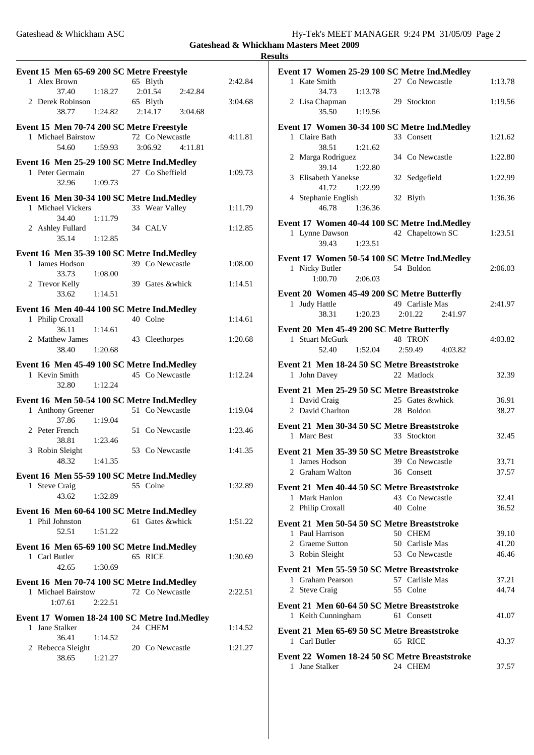Gateshead & Whickham ASC Hy-Tek's MEET MANAGER 9:24 PM 31/05/09 Page 2

**Gateshead & Whickham Masters Meet 2009 Results**

|   | Event 15 Men 65-69 200 SC Metre Freestyle                       |         |                     |         |         |
|---|-----------------------------------------------------------------|---------|---------------------|---------|---------|
|   | 1 Alex Brown                                                    |         | 65 Blyth            |         | 2:42.84 |
|   | 37.40<br>2 Derek Robinson                                       | 1:18.27 | 2:01.54<br>65 Blyth | 2:42.84 | 3:04.68 |
|   | 38.77                                                           | 1:24.82 | 2:14.17             | 3:04.68 |         |
|   | Event 15 Men 70-74 200 SC Metre Freestyle                       |         |                     |         |         |
|   | 1 Michael Bairstow                                              |         | 72 Co Newcastle     |         | 4:11.81 |
|   | 54.60 1:59.93                                                   |         | 3:06.92             | 4:11.81 |         |
|   | Event 16 Men 25-29 100 SC Metre Ind. Medley<br>1 Peter Germain  |         | 27 Co Sheffield     |         | 1:09.73 |
|   | 32.96                                                           | 1:09.73 |                     |         |         |
|   | Event 16 Men 30-34 100 SC Metre Ind. Medley                     |         |                     |         |         |
|   | 1 Michael Vickers                                               |         | 33 Wear Valley      |         | 1:11.79 |
|   | 34.40<br>2 Ashley Fullard                                       | 1:11.79 | 34 CALV             |         | 1:12.85 |
|   | 35.14                                                           | 1:12.85 |                     |         |         |
|   | Event 16 Men 35-39 100 SC Metre Ind. Medley                     |         |                     |         |         |
|   | 1 James Hodson                                                  |         | 39 Co Newcastle     |         | 1:08.00 |
|   | 33.73<br>2 Trevor Kelly                                         | 1:08.00 | 39 Gates & whick    |         | 1:14.51 |
|   | 33.62                                                           | 1:14.51 |                     |         |         |
|   | Event 16 Men 40-44 100 SC Metre Ind. Medley                     |         |                     |         |         |
|   | 1 Philip Croxall                                                |         | 40 Colne            |         | 1:14.61 |
|   | 36.11<br>2 Matthew James                                        | 1:14.61 | 43 Cleethorpes      |         | 1:20.68 |
|   | 38.40 1:20.68                                                   |         |                     |         |         |
|   | Event 16 Men 45-49 100 SC Metre Ind. Medley                     |         |                     |         |         |
|   | 1 Kevin Smith                                                   |         | 45 Co Newcastle     |         | 1:12.24 |
|   | 32.80                                                           | 1:12.24 |                     |         |         |
|   | Event 16 Men 50-54 100 SC Metre Ind.Medley<br>1 Anthony Greener |         | 51 Co Newcastle     |         | 1:19.04 |
|   | 37.86                                                           | 1:19.04 |                     |         |         |
|   | 2 Peter French                                                  |         | 51 Co Newcastle     |         | 1:23.46 |
|   | 38.81<br>3 Robin Sleight                                        | 1:23.46 | 53 Co Newcastle     |         | 1:41.35 |
|   | 48.32                                                           | 1:41.35 |                     |         |         |
|   | Event 16 Men 55-59 100 SC Metre Ind. Medley                     |         |                     |         |         |
|   | 1 Steve Craig                                                   |         | 55 Colne            |         | 1:32.89 |
|   | 43.62                                                           | 1:32.89 |                     |         |         |
|   | Event 16 Men 60-64 100 SC Metre Ind. Medley<br>1 Phil Johnston  |         | 61 Gates &whick     |         |         |
|   | 52.51                                                           | 1:51.22 |                     |         | 1:51.22 |
|   | Event 16 Men 65-69 100 SC Metre Ind.Medley                      |         |                     |         |         |
|   | 1 Carl Butler                                                   |         | 65 RICE             |         | 1:30.69 |
|   | 42.65                                                           | 1:30.69 |                     |         |         |
|   | Event 16 Men 70-74 100 SC Metre Ind. Medley                     |         |                     |         |         |
|   | 1 Michael Bairstow<br>1:07.61                                   | 2:22.51 | 72 Co Newcastle     |         | 2:22.51 |
|   |                                                                 |         |                     |         |         |
|   |                                                                 |         |                     |         |         |
| 1 | Event 17 Women 18-24 100 SC Metre Ind. Medley<br>Jane Stalker   |         | 24 CHEM             |         | 1:14.52 |
|   | 36.41                                                           | 1:14.52 |                     |         |         |
|   | 2 Rebecca Sleight<br>38.65                                      | 1:21.27 | 20 Co Newcastle     |         | 1:21.27 |

| Event 17 Women 25-29 100 SC Metre Ind. Medley                   |                    |         |
|-----------------------------------------------------------------|--------------------|---------|
| 1 Kate Smith                                                    | 27 Co Newcastle    | 1:13.78 |
| 34.73<br>1:13.78                                                |                    |         |
| 2 Lisa Chapman<br>1:19.56<br>35.50                              | 29 Stockton        | 1:19.56 |
|                                                                 |                    |         |
| Event 17 Women 30-34 100 SC Metre Ind.Medley                    |                    |         |
| 1 Claire Bath<br>38.51<br>1:21.62                               | 33 Consett         | 1:21.62 |
| 2 Marga Rodriguez                                               | 34 Co Newcastle    | 1:22.80 |
| 39.14<br>1:22.80                                                |                    |         |
| 3 Elisabeth Yanekse                                             | 32 Sedgefield      | 1:22.99 |
| 41.72 1:22.99                                                   |                    |         |
| 4 Stephanie English                                             | 32 Blyth           | 1:36.36 |
| 46.78<br>1:36.36                                                |                    |         |
| Event 17 Women 40-44 100 SC Metre Ind.Medley                    |                    |         |
| 1 Lynne Dawson                                                  | 42 Chapeltown SC   | 1:23.51 |
| 39.43<br>1:23.51                                                |                    |         |
| Event 17 Women 50-54 100 SC Metre Ind. Medley                   |                    |         |
| 1 Nicky Butler                                                  | 54 Boldon          | 2:06.03 |
| 1:00.70<br>2:06.03                                              |                    |         |
| Event 20 Women 45-49 200 SC Metre Butterfly                     |                    |         |
| 1 Judy Hattle                                                   | 49 Carlisle Mas    | 2:41.97 |
| 38.31<br>1:20.23                                                | 2:01.22<br>2:41.97 |         |
| Event 20 Men 45-49 200 SC Metre Butterfly                       |                    |         |
| 1 Stuart McGurk                                                 | 48 TRON            | 4:03.82 |
| 52.40<br>1:52.04                                                | 2:59.49<br>4:03.82 |         |
| Event 21 Men 18-24 50 SC Metre Breaststroke                     |                    |         |
| 1 John Davey                                                    | 22 Matlock         | 32.39   |
| Event 21 Men 25-29 50 SC Metre Breaststroke                     |                    |         |
| 1 David Craig                                                   | 25 Gates &whick    | 36.91   |
| 2 David Charlton                                                | 28 Boldon          | 38.27   |
| Event 21 Men 30-34 50 SC Metre Breaststroke                     |                    |         |
| 1 Marc Best                                                     | 33 Stockton        | 32.45   |
| Event 21 Men 35-39 50 SC Metre Breaststroke                     |                    |         |
| 1 James Hodson                                                  | 39 Co Newcastle    | 33.71   |
| 2 Graham Walton                                                 | 36 Consett         | 37.57   |
| Event 21 Men 40-44 50 SC Metre Breaststroke                     |                    |         |
| 1 Mark Hanlon                                                   | 43 Co Newcastle    | 32.41   |
| 2 Philip Croxall                                                | 40 Colne           | 36.52   |
| Event 21 Men 50-54 50 SC Metre Breaststroke                     |                    |         |
| Paul Harrison<br>1                                              | 50 CHEM            | 39.10   |
| 2 Graeme Sutton                                                 | 50 Carlisle Mas    | 41.20   |
| 3 Robin Sleight                                                 | 53 Co Newcastle    | 46.46   |
| Event 21 Men 55-59 50 SC Metre Breaststroke                     |                    |         |
| 1 Graham Pearson                                                | 57 Carlisle Mas    | 37.21   |
| 2 Steve Craig                                                   | 55 Colne           | 44.74   |
| Event 21 Men 60-64 50 SC Metre Breaststroke                     |                    |         |
| 1 Keith Cunningham                                              |                    |         |
|                                                                 | 61 Consett         | 41.07   |
|                                                                 |                    |         |
| Event 21 Men 65-69 50 SC Metre Breaststroke<br>1 Carl Butler    | 65 RICE            | 43.37   |
|                                                                 |                    |         |
| Event 22 Women 18-24 50 SC Metre Breaststroke<br>1 Jane Stalker | 24 CHEM            | 37.57   |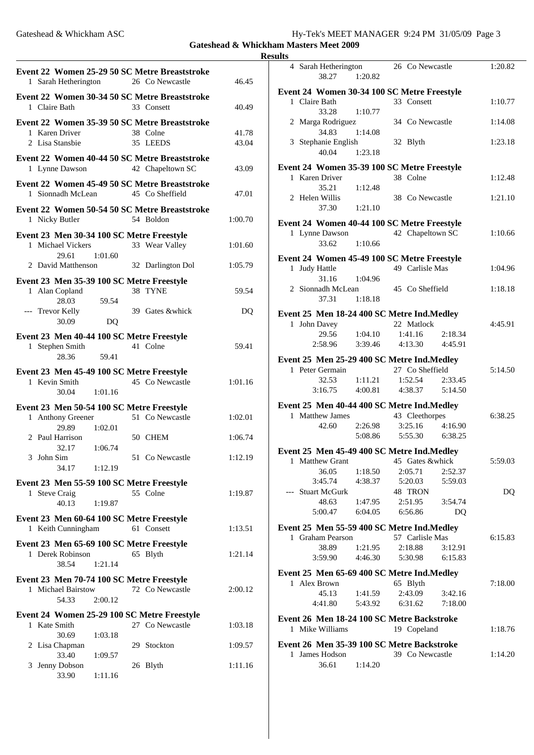| Gateshead & Whickham ASC | Hy-Tek's MEET MANAGER 9:24 PM 31/05/09 Page 3 |  |
|--------------------------|-----------------------------------------------|--|
|                          |                                               |  |

**Gateshead & Whickham Masters Meet 2009 Results**

| Event 22 Women 25-29 50 SC Metre Breaststroke<br>1 Sarah Hetherington 26 Co Newcastle                      | 46.45          |
|------------------------------------------------------------------------------------------------------------|----------------|
| Event 22 Women 30-34 50 SC Metre Breaststroke<br>1 Claire Bath<br>33 Consett                               | 40.49          |
| Event 22 Women 35-39 50 SC Metre Breaststroke<br>1 Karen Driver<br>38 Colne<br>2 Lisa Stansbie<br>35 LEEDS | 41.78<br>43.04 |
| Event 22 Women 40-44 50 SC Metre Breaststroke<br>42 Chapeltown SC<br>1 Lynne Dawson                        | 43.09          |
| Event 22 Women 45-49 50 SC Metre Breaststroke<br>45 Co Sheffield<br>1 Sionnadh McLean                      | 47.01          |
| Event 22 Women 50-54 50 SC Metre Breaststroke<br>1 Nicky Butler<br>54 Boldon                               | 1:00.70        |
| Event 23 Men 30-34 100 SC Metre Freestyle<br>1 Michael Vickers<br>33 Wear Valley<br>29.61<br>1:01.60       | 1:01.60        |
| 2 David Matthenson<br>32 Darlington Dol                                                                    | 1:05.79        |
| Event 23 Men 35-39 100 SC Metre Freestyle<br>1 Alan Copland<br>38 TYNE<br>59.54<br>28.03                   | 59.54          |
| --- Trevor Kelly<br>39 Gates &whick<br>30.09<br>DQ                                                         | DQ             |
| Event 23 Men 40-44 100 SC Metre Freestyle<br>41 Colne<br>1 Stephen Smith<br>28.36<br>59.41                 | 59.41          |
| Event 23 Men 45-49 100 SC Metre Freestyle<br>45 Co Newcastle<br>1 Kevin Smith<br>30.04<br>1:01.16          | 1:01.16        |
| Event 23 Men 50-54 100 SC Metre Freestyle                                                                  |                |
| 51 Co Newcastle<br>1 Anthony Greener<br>29.89<br>1:02.01                                                   | 1:02.01        |
| 2 Paul Harrison<br>50 CHEM<br>1:06.74<br>32.17                                                             | 1:06.74        |
| 3 John Sim<br>51 Co Newcastle<br>34.17 1:12.19                                                             | 1:12.19        |
| Event 23 Men 55-59 100 SC Metre Freestyle<br>55 Colne<br>1 Steve Craig<br>40.13<br>1:19.87                 | 1:19.87        |
| Event 23 Men 60-64 100 SC Metre Freestyle<br>1 Keith Cunningham<br>61 Consett                              | 1:13.51        |
| Event 23 Men 65-69 100 SC Metre Freestyle<br>1 Derek Robinson<br>65 Blyth<br>38.54<br>1:21.14              | 1:21.14        |
| Event 23 Men 70-74 100 SC Metre Freestyle<br>1 Michael Bairstow<br>72 Co Newcastle<br>2:00.12<br>54.33     | 2:00.12        |
| Event 24 Women 25-29 100 SC Metre Freestyle<br>27 Co Newcastle<br>1 Kate Smith                             | 1:03.18        |
| 30.69<br>1:03.18<br>2 Lisa Chapman<br>29 Stockton                                                          | 1:09.57        |
| 33.40<br>1:09.57<br>3 Jenny Dobson<br>26 Blyth<br>33.90<br>1:11.16                                         | 1:11.16        |

|              | 4 Sarah Hetherington<br>38.27               | 1:20.82       | 26 Co Newcastle  |         | 1:20.82 |
|--------------|---------------------------------------------|---------------|------------------|---------|---------|
|              | Event 24 Women 30-34 100 SC Metre Freestyle |               |                  |         |         |
|              | 1 Claire Bath<br>33.28                      | 1:10.77       | 33 Consett       |         | 1:10.77 |
|              | 2 Marga Rodriguez<br>34.83                  | 1:14.08       | 34 Co Newcastle  |         | 1:14.08 |
|              | 3 Stephanie English<br>40.04                | 1:23.18       | 32 Blyth         |         | 1:23.18 |
|              |                                             |               |                  |         |         |
|              | Event 24 Women 35-39 100 SC Metre Freestyle |               |                  |         |         |
|              | 1 Karen Driver                              |               | 38 Colne         |         | 1:12.48 |
|              | 35.21                                       | 1:12.48       |                  |         |         |
|              | 2 Helen Willis<br>37.30                     | 1:21.10       | 38 Co Newcastle  |         | 1:21.10 |
|              |                                             |               |                  |         |         |
|              | Event 24 Women 40-44 100 SC Metre Freestyle |               |                  |         |         |
|              | 1 Lynne Dawson<br>33.62                     | 1:10.66       | 42 Chapeltown SC |         | 1:10.66 |
|              |                                             |               |                  |         |         |
|              | Event 24 Women 45-49 100 SC Metre Freestyle |               |                  |         |         |
|              | 1 Judy Hattle                               |               | 49 Carlisle Mas  |         | 1:04.96 |
|              | 31.16                                       | 1:04.96       |                  |         |         |
|              | 2 Sionnadh McLean                           |               | 45 Co Sheffield  |         | 1:18.18 |
|              |                                             |               |                  |         |         |
|              | 37.31 1:18.18                               |               |                  |         |         |
|              | Event 25 Men 18-24 400 SC Metre Ind. Medley |               |                  |         |         |
|              |                                             |               | 22 Matlock       |         |         |
|              | 1 John Davey                                |               |                  |         | 4:45.91 |
|              |                                             | 29.56 1:04.10 | 1:41.16          | 2:18.34 |         |
|              | 2:58.96                                     | 3:39.46       | 4:13.30 4:45.91  |         |         |
|              |                                             |               |                  |         |         |
|              | Event 25 Men 25-29 400 SC Metre Ind. Medley |               |                  |         |         |
|              |                                             |               |                  |         |         |
|              | 1 Peter Germain                             |               | 27 Co Sheffield  |         | 5:14.50 |
|              | 32.53                                       | 1:11.21       | 1:52.54 2:33.45  |         |         |
|              |                                             |               |                  |         |         |
|              | $3:16.75$ $4:00.81$                         |               | 4:38.37 5:14.50  |         |         |
|              | Event 25 Men 40-44 400 SC Metre Ind. Medley |               |                  |         |         |
|              | 1 Matthew James                             |               |                  |         | 6:38.25 |
|              |                                             |               | 43 Cleethorpes   |         |         |
|              | 42.60                                       | 2:26.98       | 3:25.16          | 4:16.90 |         |
|              |                                             | 5:08.86       | 5:55.30 6:38.25  |         |         |
|              |                                             |               |                  |         |         |
|              | Event 25 Men 45-49 400 SC Metre Ind.Medley  |               |                  |         |         |
| 1            | <b>Matthew Grant</b>                        |               | 45 Gates &whick  |         | 5:59.03 |
|              | 36.05                                       | 1:18.50       | 2:05.71          | 2:52.37 |         |
|              | 3:45.74                                     | 4:38.37       | 5:20.03          | 5:59.03 |         |
|              | --- Stuart McGurk                           |               | 48 TRON          |         | DO      |
|              | 48.63                                       | 1:47.95       | 2:51.95          | 3:54.74 |         |
|              |                                             |               |                  |         |         |
|              | 5:00.47                                     | 6:04.05       | 6:56.86          | DQ      |         |
|              | Event 25 Men 55-59 400 SC Metre Ind. Medley |               |                  |         |         |
|              | 1 Graham Pearson                            |               | 57 Carlisle Mas  |         | 6:15.83 |
|              |                                             |               |                  |         |         |
|              | 38.89                                       | 1:21.95       | 2:18.88          | 3:12.91 |         |
|              | 3:59.90                                     | 4:46.30       | 5:30.98          | 6:15.83 |         |
|              |                                             |               |                  |         |         |
|              | Event 25 Men 65-69 400 SC Metre Ind. Medley |               |                  |         |         |
|              | 1 Alex Brown                                |               | 65 Blyth         |         | 7:18.00 |
|              | 45.13                                       | 1:41.59       | 2:43.09          | 3:42.16 |         |
|              | 4:41.80                                     | 5:43.92       | 6:31.62          | 7:18.00 |         |
|              |                                             |               |                  |         |         |
|              | Event 26 Men 18-24 100 SC Metre Backstroke  |               |                  |         |         |
|              | 1 Mike Williams                             |               | 19 Copeland      |         | 1:18.76 |
|              |                                             |               |                  |         |         |
|              | Event 26 Men 35-39 100 SC Metre Backstroke  |               |                  |         |         |
| $\mathbf{1}$ | James Hodson<br>36.61                       | 1:14.20       | 39 Co Newcastle  |         | 1:14.20 |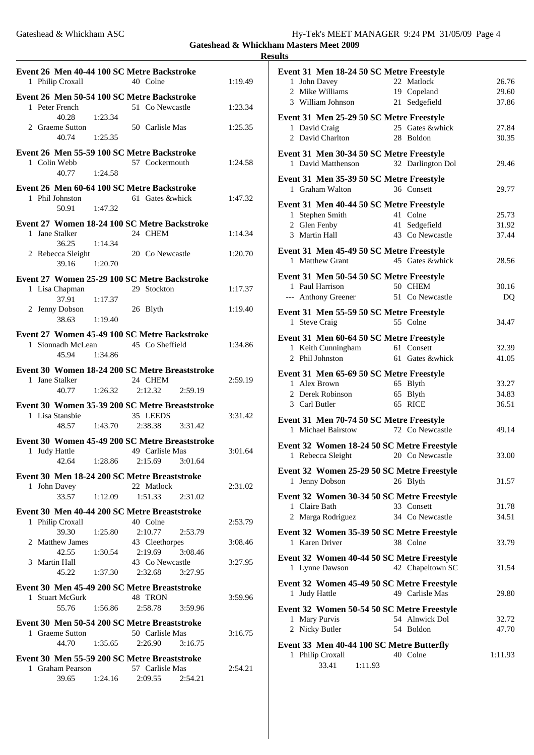**Results**

| Event 26 Men 40-44 100 SC Metre Backstroke<br>1 Philip Croxall                                   |                    | 40 Colne                              | 1:19.49                       |
|--------------------------------------------------------------------------------------------------|--------------------|---------------------------------------|-------------------------------|
| Event 26 Men 50-54 100 SC Metre Backstroke<br>1 Peter French                                     |                    | 51 Co Newcastle                       | 1:23.34                       |
| 40.28<br>2 Graeme Sutton<br>40.74<br>1:25.35                                                     | 1:23.34            | 50 Carlisle Mas                       | 1:25.35                       |
| Event 26 Men 55-59 100 SC Metre Backstroke<br>1 Colin Webb<br>40.77 1:24.58                      |                    | 57 Cockermouth                        | 1:24.58                       |
| Event 26 Men 60-64 100 SC Metre Backstroke<br>1 Phil Johnston<br>1:47.32<br>50.91                |                    | 61 Gates & whick                      | 1:47.32                       |
| Event 27 Women 18-24 100 SC Metre Backstroke<br>1 Jane Stalker<br>1:14.34<br>36.25               |                    | 24 CHEM                               | 1:14.34                       |
| 2 Rebecca Sleight<br>39.16 1:20.70                                                               |                    | 20 Co Newcastle                       | 1:20.70                       |
| Event 27 Women 25-29 100 SC Metre Backstroke<br>1 Lisa Chapman                                   |                    | 29 Stockton                           | 1:17.37                       |
| 37.91<br>1:17.37<br>2 Jenny Dobson<br>38.63                                                      | 1:19.40            | 26 Blyth                              | 1:19.40                       |
| Event 27 Women 45-49 100 SC Metre Backstroke<br>1 Sionnadh McLean<br>45.94 1:34.86               |                    | 45 Co Sheffield                       | 1:34.86                       |
| Event 30 Women 18-24 200 SC Metre Breaststroke<br>1 Jane Stalker<br>40.77                        | 1:26.32            | 24 CHEM<br>2:12.32 2:59.19            | 2:59.19                       |
| Event 30 Women 35-39 200 SC Metre Breaststroke<br>1 Lisa Stansbie<br>48.57 1:43.70               |                    | 35 LEEDS<br>2:38.38 3:31.42           | 3:31.42                       |
| Event 30 Women 45-49 200 SC Metre Breaststroke<br>1 Judy Hattle<br>42.64 1:28.86 2:15.69 3:01.64 |                    | 49 Carlisle Mas                       | 3:01.64                       |
| Event 30 Men 18-24 200 SC Metre Breaststroke<br>1 John Davey<br>33.57                            | 1:12.09            | 22 Matlock<br>1:51.33                 | 2:31.02<br>2:31.02            |
| Event 30 Men 40-44 200 SC Metre Breaststroke                                                     |                    |                                       |                               |
| 1 Philip Croxall<br>39.30<br>2 Matthew James                                                     | 1:25.80            | 40 Colne<br>2:10.77<br>43 Cleethorpes | 2:53.79<br>2:53.79<br>3:08.46 |
| 42.55<br>3 Martin Hall<br>45.22                                                                  | 1:30.54<br>1:37.30 | 2:19.69<br>43 Co Newcastle<br>2:32.68 | 3:08.46<br>3:27.95<br>3:27.95 |
| Event 30 Men 45-49 200 SC Metre Breaststroke<br>1 Stuart McGurk<br>55.76 1:56.86                 |                    | 48 TRON<br>2:58.78                    | 3:59.96<br>3:59.96            |
| Event 30 Men 50-54 200 SC Metre Breaststroke<br>1 Graeme Sutton<br>44.70                         | 1:35.65            | 50 Carlisle Mas<br>2:26.90<br>3:16.75 | 3:16.75                       |
| Event 30 Men 55-59 200 SC Metre Breaststroke<br>1 Graham Pearson<br>39.65                        | 1:24.16            | 57 Carlisle Mas<br>2:09.55            | 2:54.21<br>2:54.21            |

| Event 31 Men 18-24 50 SC Metre Freestyle                                           |                |
|------------------------------------------------------------------------------------|----------------|
| 22 Matlock<br>1 John Davey                                                         | 26.76          |
| 19 Copeland<br>2 Mike Williams                                                     | 29.60          |
| 3 William Johnson<br>21 Sedgefield                                                 | 37.86          |
| Event 31 Men 25-29 50 SC Metre Freestyle                                           |                |
| 25 Gates &whick<br>1 David Craig                                                   | 27.84          |
| 2 David Charlton<br>28 Boldon                                                      | 30.35          |
|                                                                                    |                |
| Event 31 Men 30-34 50 SC Metre Freestyle<br>1 David Matthenson                     | 29.46          |
| 32 Darlington Dol                                                                  |                |
| Event 31 Men 35-39 50 SC Metre Freestyle                                           |                |
| 1 Graham Walton<br>36 Consett                                                      | 29.77          |
| Event 31 Men 40-44 50 SC Metre Freestyle                                           |                |
| 41 Colne<br>1 Stephen Smith                                                        | 25.73          |
| 2 Glen Fenby<br>41 Sedgefield                                                      | 31.92          |
| 3 Martin Hall<br>43 Co Newcastle                                                   | 37.44          |
| Event 31 Men 45-49 50 SC Metre Freestyle                                           |                |
| 1 Matthew Grant<br>45 Gates & whick                                                | 28.56          |
|                                                                                    |                |
| Event 31 Men 50-54 50 SC Metre Freestyle                                           |                |
| 50 CHEM<br>1 Paul Harrison                                                         | 30.16          |
| 51 Co Newcastle<br>--- Anthony Greener                                             | DQ             |
| Event 31 Men 55-59 50 SC Metre Freestyle                                           |                |
| 1 Steve Craig<br>55 Colne                                                          | 34.47          |
|                                                                                    |                |
| Event 31 Men 60-64 50 SC Metre Freestyle                                           |                |
| 1 Keith Cunningham 61 Consett<br>2 Phil Johnston<br>61 Gates &whick                | 32.39<br>41.05 |
|                                                                                    |                |
| Event 31 Men 65-69 50 SC Metre Freestyle                                           |                |
| 1 Alex Brown<br>65 Blyth                                                           | 33.27          |
| 2 Derek Robinson<br>65 Blyth                                                       | 34.83          |
| 3 Carl Butler<br>65 RICE                                                           | 36.51          |
| Event 31 Men 70-74 50 SC Metre Freestyle                                           |                |
| 1 Michael Bairstow<br>72 Co Newcastle                                              | 49.14          |
|                                                                                    |                |
| Event 32 Women 18-24 50 SC Metre Freestyle<br>1 Rebecca Sleight<br>20 Co Newcastle | 33.00          |
|                                                                                    |                |
| Event 32 Women 25-29 50 SC Metre Freestyle                                         |                |
| Jenny Dobson<br>26 Blyth<br>1                                                      | 31.57          |
| Event 32 Women 30-34 50 SC Metre Freestyle                                         |                |
| 1 Claire Bath<br>33 Consett                                                        | 31.78          |
| 2 Marga Rodriguez<br>34 Co Newcastle                                               | 34.51          |
|                                                                                    |                |
| Event 32 Women 35-39 50 SC Metre Freestyle<br>1 Karen Driver<br>38 Colne           | 33.79          |
|                                                                                    |                |
| Event 32 Women 40-44 50 SC Metre Freestyle                                         |                |
| 1 Lynne Dawson<br>42 Chapeltown SC                                                 | 31.54          |
| Event 32 Women 45-49 50 SC Metre Freestyle                                         |                |
| 49 Carlisle Mas<br>1 Judy Hattle                                                   | 29.80          |
|                                                                                    |                |
| Event 32 Women 50-54 50 SC Metre Freestyle<br>1 Mary Purvis<br>54 Alnwick Dol      |                |
| 2 Nicky Butler<br>54 Boldon                                                        | 32.72<br>47.70 |
|                                                                                    |                |
| Event 33 Men 40-44 100 SC Metre Butterfly                                          |                |
| 1 Philip Croxall<br>40 Colne<br>33.41<br>1:11.93                                   | 1:11.93        |
|                                                                                    |                |